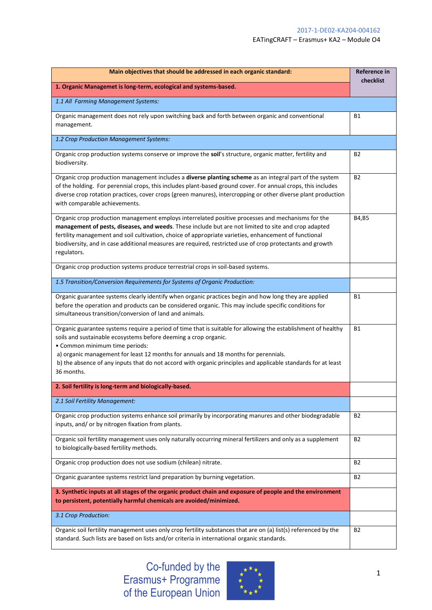#### 2017-1-DE02-KA204-004162

EATingCRAFT – Erasmus+ KA2 – Module O4

| Main objectives that should be addressed in each organic standard:                                                                                                                                                                                                                                                                                                                                                                             |           |  |
|------------------------------------------------------------------------------------------------------------------------------------------------------------------------------------------------------------------------------------------------------------------------------------------------------------------------------------------------------------------------------------------------------------------------------------------------|-----------|--|
| 1. Organic Managemet is long-term, ecological and systems-based.                                                                                                                                                                                                                                                                                                                                                                               | checklist |  |
| 1.1 All Farming Management Systems:                                                                                                                                                                                                                                                                                                                                                                                                            |           |  |
| Organic management does not rely upon switching back and forth between organic and conventional<br>management.                                                                                                                                                                                                                                                                                                                                 | <b>B1</b> |  |
| 1.2 Crop Production Management Systems:                                                                                                                                                                                                                                                                                                                                                                                                        |           |  |
| Organic crop production systems conserve or improve the soil's structure, organic matter, fertility and<br>biodiversity.                                                                                                                                                                                                                                                                                                                       | <b>B2</b> |  |
| Organic crop production management includes a diverse planting scheme as an integral part of the system<br>of the holding. For perennial crops, this includes plant-based ground cover. For annual crops, this includes<br>diverse crop rotation practices, cover crops (green manures), intercropping or other diverse plant production<br>with comparable achievements.                                                                      | <b>B2</b> |  |
| Organic crop production management employs interrelated positive processes and mechanisms for the<br>management of pests, diseases, and weeds. These include but are not limited to site and crop adapted<br>fertility management and soil cultivation, choice of appropriate varieties, enhancement of functional<br>biodiversity, and in case additional measures are required, restricted use of crop protectants and growth<br>regulators. | B4,B5     |  |
| Organic crop production systems produce terrestrial crops in soil-based systems.                                                                                                                                                                                                                                                                                                                                                               |           |  |
| 1.5 Transition/Conversion Requirements for Systems of Organic Production:                                                                                                                                                                                                                                                                                                                                                                      |           |  |
| Organic guarantee systems clearly identify when organic practices begin and how long they are applied<br>before the operation and products can be considered organic. This may include specific conditions for<br>simultaneous transition/conversion of land and animals.                                                                                                                                                                      | <b>B1</b> |  |
| Organic guarantee systems require a period of time that is suitable for allowing the establishment of healthy<br>soils and sustainable ecosystems before deeming a crop organic.<br>• Common minimum time periods:<br>a) organic management for least 12 months for annuals and 18 months for perennials.<br>b) the absence of any inputs that do not accord with organic principles and applicable standards for at least<br>36 months.       | <b>B1</b> |  |
| 2. Soil fertility is long-term and biologically-based.                                                                                                                                                                                                                                                                                                                                                                                         |           |  |
| 2.1 Soil Fertility Management:                                                                                                                                                                                                                                                                                                                                                                                                                 |           |  |
| Organic crop production systems enhance soil primarily by incorporating manures and other biodegradable<br>inputs, and/ or by nitrogen fixation from plants.                                                                                                                                                                                                                                                                                   | B2        |  |
| Organic soil fertility management uses only naturally occurring mineral fertilizers and only as a supplement<br>to biologically-based fertility methods.                                                                                                                                                                                                                                                                                       | B2        |  |
| Organic crop production does not use sodium (chilean) nitrate.                                                                                                                                                                                                                                                                                                                                                                                 | B2        |  |
| Organic guarantee systems restrict land preparation by burning vegetation.                                                                                                                                                                                                                                                                                                                                                                     | B2        |  |
| 3. Synthetic inputs at all stages of the organic product chain and exposure of people and the environment<br>to persistent, potentially harmful chemicals are avoided/minimized.                                                                                                                                                                                                                                                               |           |  |
| 3.1 Crop Production:                                                                                                                                                                                                                                                                                                                                                                                                                           |           |  |
| Organic soil fertility management uses only crop fertility substances that are on (a) list(s) referenced by the<br>standard. Such lists are based on lists and/or criteria in international organic standards.                                                                                                                                                                                                                                 | <b>B2</b> |  |

Co-funded by the Erasmus+ Programme of the European Union

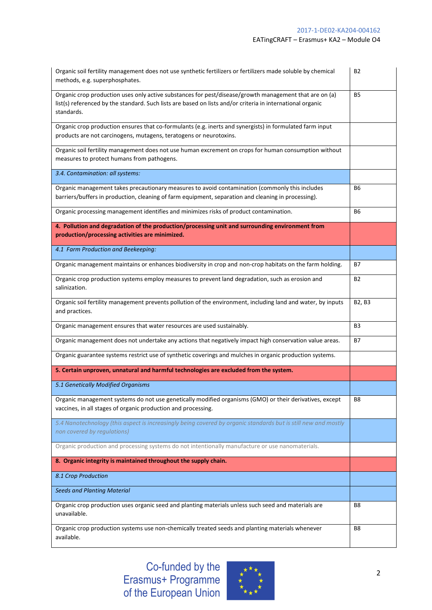| Organic soil fertility management does not use synthetic fertilizers or fertilizers made soluble by chemical<br>methods, e.g. superphosphates.                                                                                     |                |  |  |
|------------------------------------------------------------------------------------------------------------------------------------------------------------------------------------------------------------------------------------|----------------|--|--|
| Organic crop production uses only active substances for pest/disease/growth management that are on (a)<br>list(s) referenced by the standard. Such lists are based on lists and/or criteria in international organic<br>standards. | <b>B5</b>      |  |  |
| Organic crop production ensures that co-formulants (e.g. inerts and synergists) in formulated farm input<br>products are not carcinogens, mutagens, teratogens or neurotoxins.                                                     |                |  |  |
| Organic soil fertility management does not use human excrement on crops for human consumption without<br>measures to protect humans from pathogens.                                                                                |                |  |  |
| 3.4. Contamination: all systems:                                                                                                                                                                                                   |                |  |  |
| Organic management takes precautionary measures to avoid contamination (commonly this includes<br>barriers/buffers in production, cleaning of farm equipment, separation and cleaning in processing).                              | В6             |  |  |
| Organic processing management identifies and minimizes risks of product contamination.                                                                                                                                             | <b>B6</b>      |  |  |
| 4. Pollution and degradation of the production/processing unit and surrounding environment from<br>production/processing activities are minimized.                                                                                 |                |  |  |
| 4.1 Farm Production and Beekeeping:                                                                                                                                                                                                |                |  |  |
| Organic management maintains or enhances biodiversity in crop and non-crop habitats on the farm holding.                                                                                                                           | Β7             |  |  |
| Organic crop production systems employ measures to prevent land degradation, such as erosion and<br>salinization.                                                                                                                  | <b>B2</b>      |  |  |
| Organic soil fertility management prevents pollution of the environment, including land and water, by inputs<br>and practices.                                                                                                     | B2, B3         |  |  |
| Organic management ensures that water resources are used sustainably.                                                                                                                                                              | B <sub>3</sub> |  |  |
| Organic management does not undertake any actions that negatively impact high conservation value areas.                                                                                                                            | Β7             |  |  |
| Organic guarantee systems restrict use of synthetic coverings and mulches in organic production systems.                                                                                                                           |                |  |  |
| 5. Certain unproven, unnatural and harmful technologies are excluded from the system.                                                                                                                                              |                |  |  |
| 5.1 Genetically Modified Organisms                                                                                                                                                                                                 |                |  |  |
| Organic management systems do not use genetically modified organisms (GMO) or their derivatives, except<br>vaccines, in all stages of organic production and processing.                                                           | B8             |  |  |
| 5.4 Nanotechnology (this aspect is increasingly being covered by organic standards but is still new and mostly<br>non covered by regulations)                                                                                      |                |  |  |
| Organic production and processing systems do not intentionally manufacture or use nanomaterials.                                                                                                                                   |                |  |  |
| 8. Organic integrity is maintained throughout the supply chain.                                                                                                                                                                    |                |  |  |
| 8.1 Crop Production                                                                                                                                                                                                                |                |  |  |
| <b>Seeds and Planting Material</b>                                                                                                                                                                                                 |                |  |  |
| Organic crop production uses organic seed and planting materials unless such seed and materials are<br>unavailable.                                                                                                                | B8             |  |  |
| Organic crop production systems use non-chemically treated seeds and planting materials whenever<br>available.                                                                                                                     | B8             |  |  |

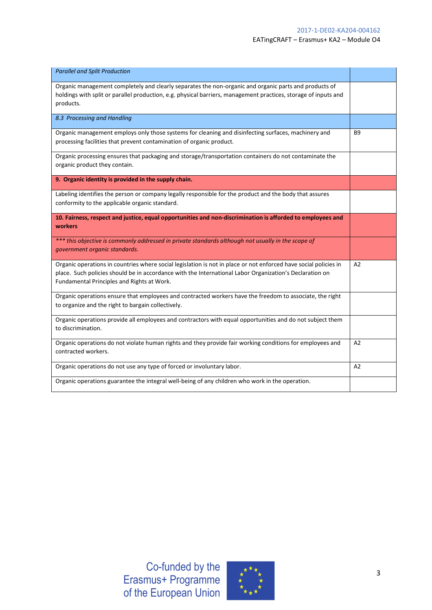### 2017-1-DE02-KA204-004162 EATingCRAFT – Erasmus+ KA2 – Module O4

| <b>Parallel and Split Production</b>                                                                                                                                                                                                                                      |                |
|---------------------------------------------------------------------------------------------------------------------------------------------------------------------------------------------------------------------------------------------------------------------------|----------------|
| Organic management completely and clearly separates the non-organic and organic parts and products of<br>holdings with split or parallel production, e.g. physical barriers, management practices, storage of inputs and<br>products.                                     |                |
| 8.3 Processing and Handling                                                                                                                                                                                                                                               |                |
| Organic management employs only those systems for cleaning and disinfecting surfaces, machinery and<br>processing facilities that prevent contamination of organic product.                                                                                               | B <sub>9</sub> |
| Organic processing ensures that packaging and storage/transportation containers do not contaminate the<br>organic product they contain.                                                                                                                                   |                |
| 9. Organic identity is provided in the supply chain.                                                                                                                                                                                                                      |                |
| Labeling identifies the person or company legally responsible for the product and the body that assures<br>conformity to the applicable organic standard.                                                                                                                 |                |
| 10. Fairness, respect and justice, equal opportunities and non-discrimination is afforded to employees and<br>workers                                                                                                                                                     |                |
| *** this objective is commonly addressed in private standards although not usually in the scope of<br>government organic standards.                                                                                                                                       |                |
| Organic operations in countries where social legislation is not in place or not enforced have social policies in<br>place. Such policies should be in accordance with the International Labor Organization's Declaration on<br>Fundamental Principles and Rights at Work. | A2             |
| Organic operations ensure that employees and contracted workers have the freedom to associate, the right<br>to organize and the right to bargain collectively.                                                                                                            |                |
| Organic operations provide all employees and contractors with equal opportunities and do not subject them<br>to discrimination.                                                                                                                                           |                |
| Organic operations do not violate human rights and they provide fair working conditions for employees and<br>contracted workers.                                                                                                                                          | A <sub>2</sub> |
| Organic operations do not use any type of forced or involuntary labor.                                                                                                                                                                                                    | A2             |
| Organic operations guarantee the integral well-being of any children who work in the operation.                                                                                                                                                                           |                |

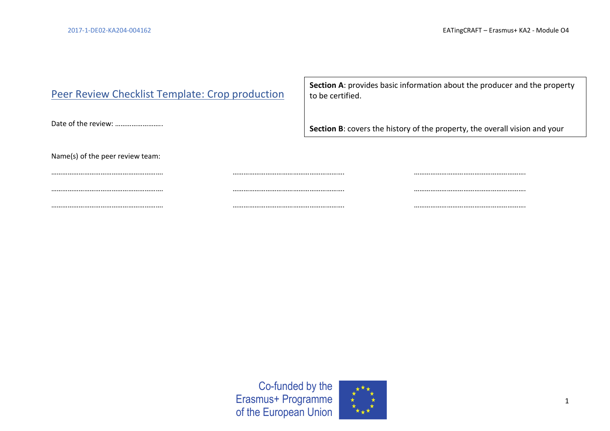| Peer Review Checklist Template: Crop production | Section A: provides basic information about the producer and the property<br>to be certified. |
|-------------------------------------------------|-----------------------------------------------------------------------------------------------|
| Date of the review:                             | Section B: covers the history of the property, the overall vision and your                    |
| Name(s) of the peer review team:                |                                                                                               |
|                                                 |                                                                                               |
|                                                 |                                                                                               |
|                                                 |                                                                                               |

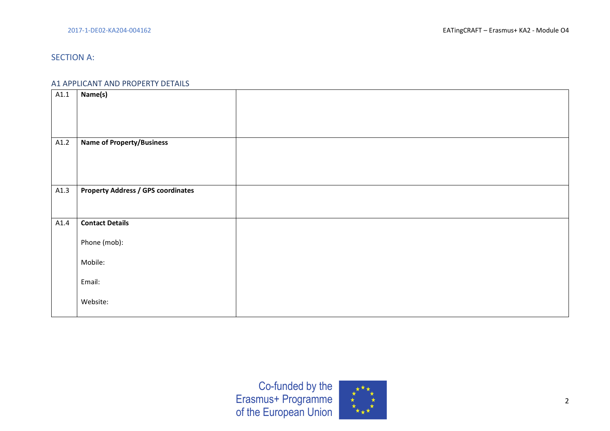# SECTION A:

### A1 APPLICANT AND PROPERTY DETAILS

| A1.1 | Name(s)                                   |  |
|------|-------------------------------------------|--|
| A1.2 | <b>Name of Property/Business</b>          |  |
| A1.3 | <b>Property Address / GPS coordinates</b> |  |
| A1.4 | <b>Contact Details</b>                    |  |
|      | Phone (mob):                              |  |
|      | Mobile:                                   |  |
|      | Email:                                    |  |
|      | Website:                                  |  |

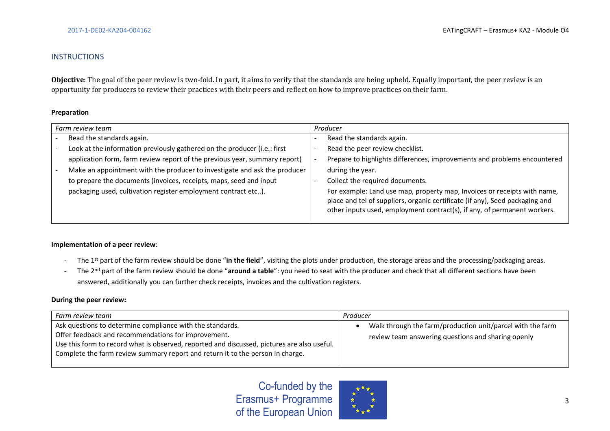#### **INSTRUCTIONS**

**Objective**: The goal of the peer review is two-fold. In part, it aims to verify that the standards are being upheld. Equally important, the peer review is an opportunity for producers to review their practices with their peers and reflect on how to improve practices on their farm.

#### **Preparation**

| Farm review team                                                           | Producer                                                                                                                                                                                                                             |
|----------------------------------------------------------------------------|--------------------------------------------------------------------------------------------------------------------------------------------------------------------------------------------------------------------------------------|
| Read the standards again.                                                  | Read the standards again.                                                                                                                                                                                                            |
| Look at the information previously gathered on the producer (i.e.: first   | Read the peer review checklist.                                                                                                                                                                                                      |
| application form, farm review report of the previous year, summary report) | Prepare to highlights differences, improvements and problems encountered                                                                                                                                                             |
| Make an appointment with the producer to investigate and ask the producer  | during the year.                                                                                                                                                                                                                     |
| to prepare the documents (invoices, receipts, maps, seed and input         | Collect the required documents.                                                                                                                                                                                                      |
| packaging used, cultivation register employment contract etc).             | For example: Land use map, property map, Invoices or receipts with name,<br>place and tel of suppliers, organic certificate (if any), Seed packaging and<br>other inputs used, employment contract(s), if any, of permanent workers. |

#### **Implementation of a peer review**:

- <sup>-</sup> The 1<sup>st</sup> part of the farm review should be done "in the field", visiting the plots under production, the storage areas and the processing/packaging areas.
- The 2nd part of the farm review should be done "**around a table**": you need to seat with the producer and check that all different sections have been answered, additionally you can further check receipts, invoices and the cultivation registers.

#### **During the peer review:**

| Farm review team                                                                            | Producer                                                   |
|---------------------------------------------------------------------------------------------|------------------------------------------------------------|
| Ask questions to determine compliance with the standards.                                   | Walk through the farm/production unit/parcel with the farm |
| Offer feedback and recommendations for improvement.                                         | review team answering questions and sharing openly         |
| Use this form to record what is observed, reported and discussed, pictures are also useful. |                                                            |
| Complete the farm review summary report and return it to the person in charge.              |                                                            |
|                                                                                             |                                                            |

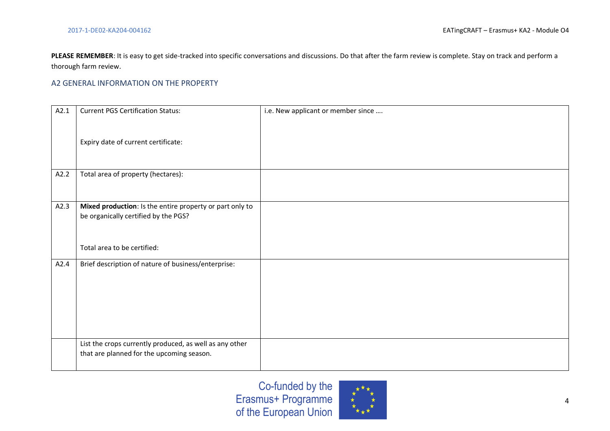PLEASE REMEMBER: It is easy to get side-tracked into specific conversations and discussions. Do that after the farm review is complete. Stay on track and perform a thorough farm review.

### A2 GENERAL INFORMATION ON THE PROPERTY

| A2.1 | <b>Current PGS Certification Status:</b>                 | i.e. New applicant or member since |
|------|----------------------------------------------------------|------------------------------------|
|      |                                                          |                                    |
|      |                                                          |                                    |
|      |                                                          |                                    |
|      | Expiry date of current certificate:                      |                                    |
|      |                                                          |                                    |
|      |                                                          |                                    |
|      |                                                          |                                    |
| A2.2 | Total area of property (hectares):                       |                                    |
|      |                                                          |                                    |
|      |                                                          |                                    |
|      |                                                          |                                    |
| A2.3 | Mixed production: Is the entire property or part only to |                                    |
|      | be organically certified by the PGS?                     |                                    |
|      |                                                          |                                    |
|      |                                                          |                                    |
|      |                                                          |                                    |
|      | Total area to be certified:                              |                                    |
|      |                                                          |                                    |
| A2.4 | Brief description of nature of business/enterprise:      |                                    |
|      |                                                          |                                    |
|      |                                                          |                                    |
|      |                                                          |                                    |
|      |                                                          |                                    |
|      |                                                          |                                    |
|      |                                                          |                                    |
|      |                                                          |                                    |
|      |                                                          |                                    |
|      | List the crops currently produced, as well as any other  |                                    |
|      |                                                          |                                    |
|      | that are planned for the upcoming season.                |                                    |
|      |                                                          |                                    |

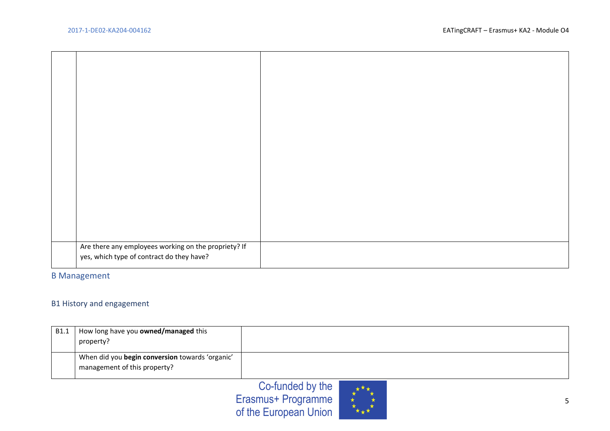| Are there any employees working on the propriety? If |  |
|------------------------------------------------------|--|
| yes, which type of contract do they have?            |  |
|                                                      |  |

# B Management

### B1 History and engagement

| B1.1 | How long have you owned/managed this<br>property?                               |  |
|------|---------------------------------------------------------------------------------|--|
|      | When did you begin conversion towards 'organic'<br>management of this property? |  |

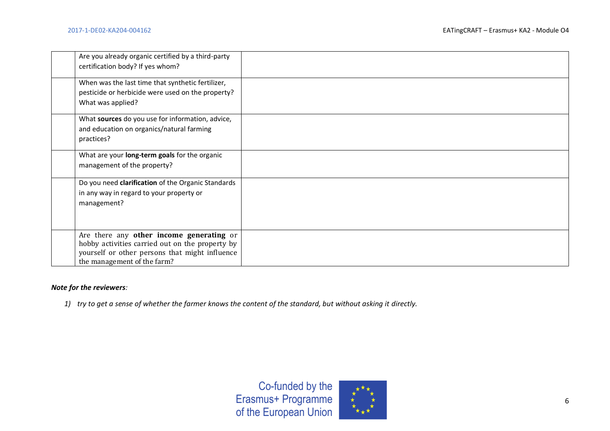| Are you already organic certified by a third-party<br>certification body? If yes whom?                                                                                       |  |
|------------------------------------------------------------------------------------------------------------------------------------------------------------------------------|--|
| When was the last time that synthetic fertilizer,<br>pesticide or herbicide were used on the property?<br>What was applied?                                                  |  |
| What sources do you use for information, advice,<br>and education on organics/natural farming<br>practices?                                                                  |  |
| What are your long-term goals for the organic<br>management of the property?                                                                                                 |  |
| Do you need clarification of the Organic Standards<br>in any way in regard to your property or<br>management?                                                                |  |
| Are there any other income generating or<br>hobby activities carried out on the property by<br>yourself or other persons that might influence<br>the management of the farm? |  |

### *Note for the reviewers:*

*1) try to get a sense of whether the farmer knows the content of the standard, but without asking it directly.*

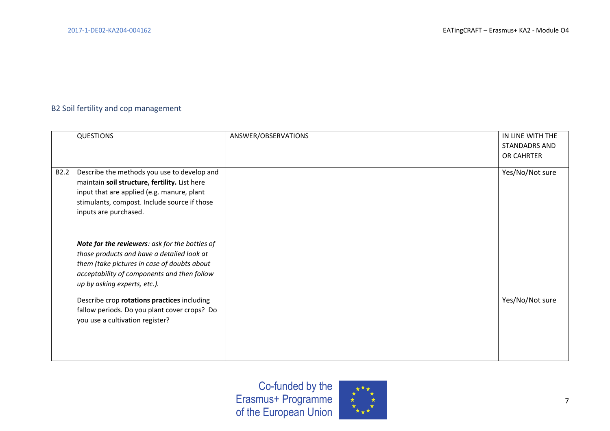# B2 Soil fertility and cop management

|                  | <b>QUESTIONS</b>                                                                                                                                                                                                           | ANSWER/OBSERVATIONS | IN LINE WITH THE<br>STANDADRS AND<br>OR CAHRTER |
|------------------|----------------------------------------------------------------------------------------------------------------------------------------------------------------------------------------------------------------------------|---------------------|-------------------------------------------------|
| B <sub>2.2</sub> | Describe the methods you use to develop and<br>maintain soil structure, fertility. List here<br>input that are applied (e.g. manure, plant<br>stimulants, compost. Include source if those<br>inputs are purchased.        |                     | Yes/No/Not sure                                 |
|                  | Note for the reviewers: ask for the bottles of<br>those products and have a detailed look at<br>them (take pictures in case of doubts about<br>acceptability of components and then follow<br>up by asking experts, etc.). |                     |                                                 |
|                  | Describe crop rotations practices including<br>fallow periods. Do you plant cover crops? Do<br>you use a cultivation register?                                                                                             |                     | Yes/No/Not sure                                 |

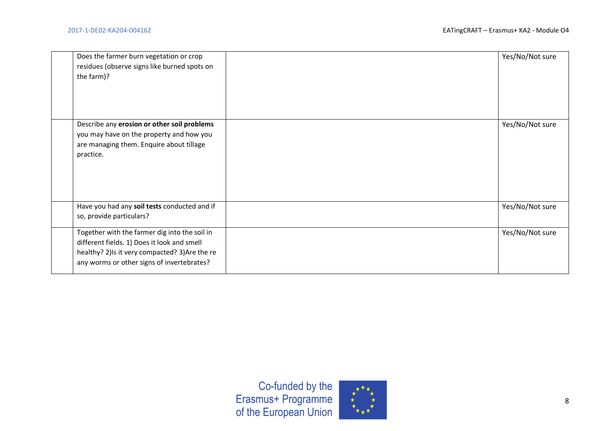| Does the farmer burn vegetation or crop<br>residues (observe signs like burned spots on<br>the farm)?                                                                                         | Yes/No/Not sure |
|-----------------------------------------------------------------------------------------------------------------------------------------------------------------------------------------------|-----------------|
| Describe any erosion or other soil problems<br>you may have on the property and how you<br>are managing them. Enquire about tillage<br>practice.                                              | Yes/No/Not sure |
| Have you had any soil tests conducted and if<br>so, provide particulars?                                                                                                                      | Yes/No/Not sure |
| Together with the farmer dig into the soil in<br>different fields. 1) Does it look and smell<br>healthy? 2) Is it very compacted? 3) Are the re<br>any worms or other signs of invertebrates? | Yes/No/Not sure |

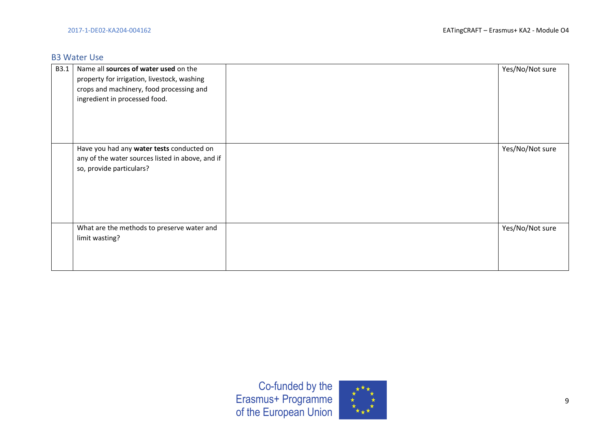### B3 Water Use

| <b>B3.1</b> | Name all sources of water used on the<br>property for irrigation, livestock, washing<br>crops and machinery, food processing and<br>ingredient in processed food. | Yes/No/Not sure |
|-------------|-------------------------------------------------------------------------------------------------------------------------------------------------------------------|-----------------|
|             | Have you had any water tests conducted on<br>any of the water sources listed in above, and if<br>so, provide particulars?                                         | Yes/No/Not sure |
|             | What are the methods to preserve water and<br>limit wasting?                                                                                                      | Yes/No/Not sure |

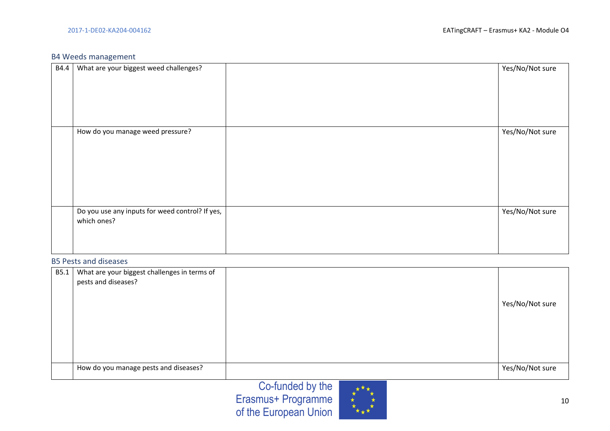### B4 Weeds management

| <b>B4.4</b> | What are your biggest weed challenges?                         | Yes/No/Not sure |
|-------------|----------------------------------------------------------------|-----------------|
|             |                                                                |                 |
|             | How do you manage weed pressure?                               | Yes/No/Not sure |
|             |                                                                |                 |
|             |                                                                |                 |
|             |                                                                |                 |
|             |                                                                |                 |
|             | Do you use any inputs for weed control? If yes,<br>which ones? | Yes/No/Not sure |
|             |                                                                |                 |
|             |                                                                |                 |

# B5 Pests and diseases

| B5.1 | What are your biggest challenges in terms of<br>pests and diseases? | Yes/No/Not sure |
|------|---------------------------------------------------------------------|-----------------|
|      | How do you manage pests and diseases?                               | Yes/No/Not sure |

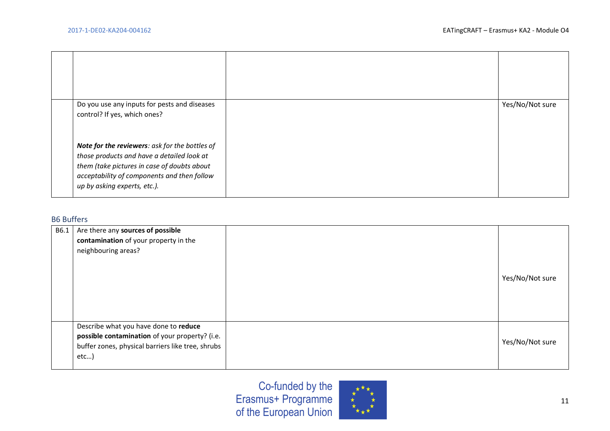| Do you use any inputs for pests and diseases<br>control? If yes, which ones?                                                                                                                                               | Yes/No/Not sure |
|----------------------------------------------------------------------------------------------------------------------------------------------------------------------------------------------------------------------------|-----------------|
| Note for the reviewers: ask for the bottles of<br>those products and have a detailed look at<br>them (take pictures in case of doubts about<br>acceptability of components and then follow<br>up by asking experts, etc.). |                 |

## B6 Buffers

| B6.1 | Are there any sources of possible<br>contamination of your property in the<br>neighbouring areas?                                                    |                 |
|------|------------------------------------------------------------------------------------------------------------------------------------------------------|-----------------|
|      |                                                                                                                                                      | Yes/No/Not sure |
|      | Describe what you have done to reduce<br>possible contamination of your property? (i.e.<br>buffer zones, physical barriers like tree, shrubs<br>etc) | Yes/No/Not sure |

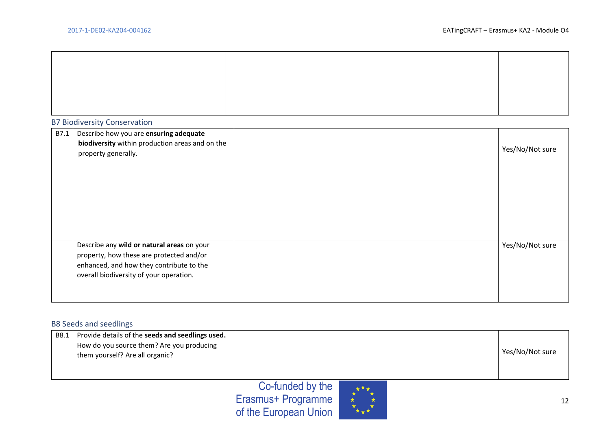$\blacksquare$ 

|      | <b>B7 Biodiversity Conservation</b>             |                 |
|------|-------------------------------------------------|-----------------|
| B7.1 | Describe how you are ensuring adequate          |                 |
|      | biodiversity within production areas and on the |                 |
|      | property generally.                             | Yes/No/Not sure |
|      |                                                 |                 |
|      |                                                 |                 |
|      |                                                 |                 |
|      |                                                 |                 |
|      |                                                 |                 |
|      |                                                 |                 |
|      |                                                 |                 |
|      |                                                 |                 |
|      |                                                 |                 |
|      | Describe any wild or natural areas on your      | Yes/No/Not sure |
|      | property, how these are protected and/or        |                 |
|      | enhanced, and how they contribute to the        |                 |
|      | overall biodiversity of your operation.         |                 |
|      |                                                 |                 |
|      |                                                 |                 |
|      |                                                 |                 |

### B8 Seeds and seedlings

| B8.1 | Provide details of the seeds and seedlings used. |                 |
|------|--------------------------------------------------|-----------------|
|      | How do you source them? Are you producing        |                 |
|      | them yourself? Are all organic?                  | Yes/No/Not sure |
|      |                                                  |                 |
|      |                                                  |                 |

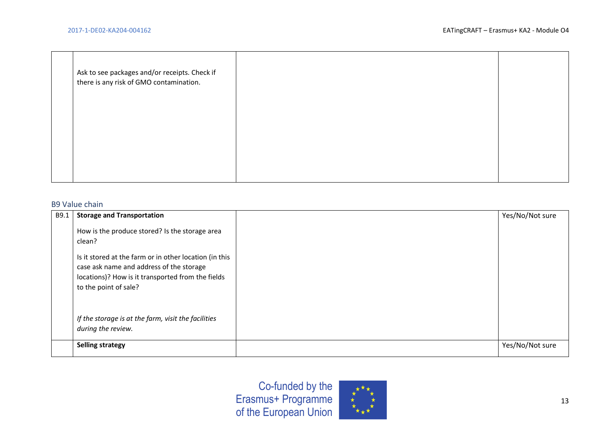| Ask to see packages and/or receipts. Check if<br>there is any risk of GMO contamination. |  |
|------------------------------------------------------------------------------------------|--|
|                                                                                          |  |
|                                                                                          |  |

# B9 Value chain

| B9.1 | <b>Storage and Transportation</b>                                                                                                                                                | Yes/No/Not sure |
|------|----------------------------------------------------------------------------------------------------------------------------------------------------------------------------------|-----------------|
|      | How is the produce stored? Is the storage area<br>clean?                                                                                                                         |                 |
|      | Is it stored at the farm or in other location (in this<br>case ask name and address of the storage<br>locations)? How is it transported from the fields<br>to the point of sale? |                 |
|      | If the storage is at the farm, visit the facilities<br>during the review.                                                                                                        |                 |
|      | <b>Selling strategy</b>                                                                                                                                                          | Yes/No/Not sure |

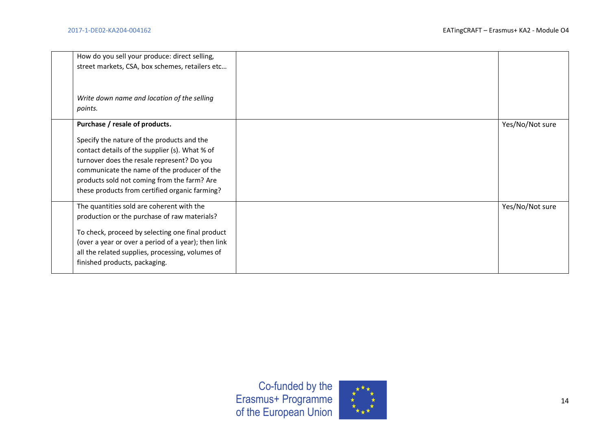| How do you sell your produce: direct selling,<br>street markets, CSA, box schemes, retailers etc                                                                                                                                                                                           |                 |
|--------------------------------------------------------------------------------------------------------------------------------------------------------------------------------------------------------------------------------------------------------------------------------------------|-----------------|
| Write down name and location of the selling<br>points.                                                                                                                                                                                                                                     |                 |
| Purchase / resale of products.                                                                                                                                                                                                                                                             | Yes/No/Not sure |
| Specify the nature of the products and the<br>contact details of the supplier (s). What % of<br>turnover does the resale represent? Do you<br>communicate the name of the producer of the<br>products sold not coming from the farm? Are<br>these products from certified organic farming? |                 |
| The quantities sold are coherent with the<br>production or the purchase of raw materials?<br>To check, proceed by selecting one final product<br>(over a year or over a period of a year); then link<br>all the related supplies, processing, volumes of<br>finished products, packaging.  | Yes/No/Not sure |
|                                                                                                                                                                                                                                                                                            |                 |

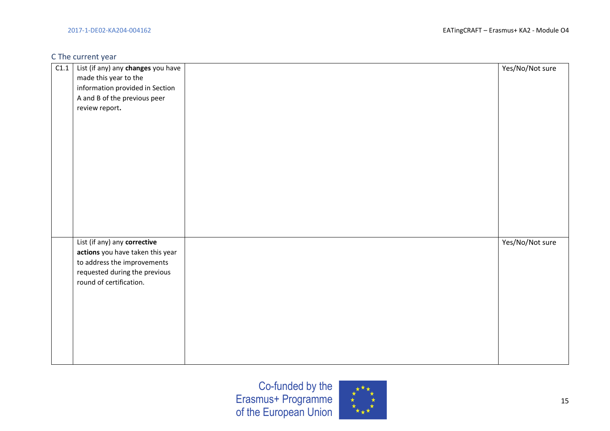## C The current year

| C1.1 | List (if any) any changes you have | Yes/No/Not sure |
|------|------------------------------------|-----------------|
|      | made this year to the              |                 |
|      | information provided in Section    |                 |
|      | A and B of the previous peer       |                 |
|      | review report.                     |                 |
|      |                                    |                 |
|      |                                    |                 |
|      |                                    |                 |
|      |                                    |                 |
|      |                                    |                 |
|      |                                    |                 |
|      |                                    |                 |
|      |                                    |                 |
|      |                                    |                 |
|      |                                    |                 |
|      |                                    |                 |
|      |                                    |                 |
|      | List (if any) any corrective       | Yes/No/Not sure |
|      | actions you have taken this year   |                 |
|      | to address the improvements        |                 |
|      | requested during the previous      |                 |
|      | round of certification.            |                 |
|      |                                    |                 |
|      |                                    |                 |
|      |                                    |                 |
|      |                                    |                 |
|      |                                    |                 |
|      |                                    |                 |
|      |                                    |                 |
|      |                                    |                 |

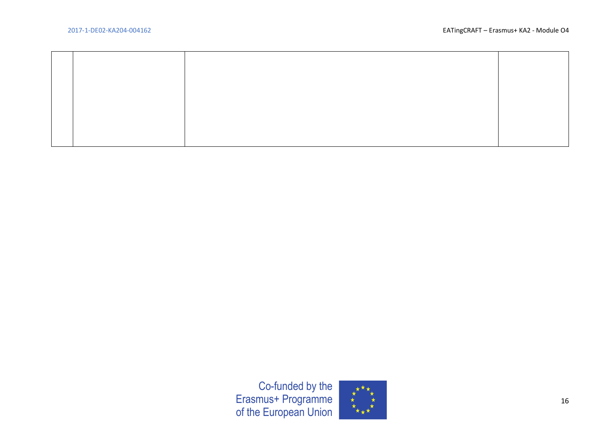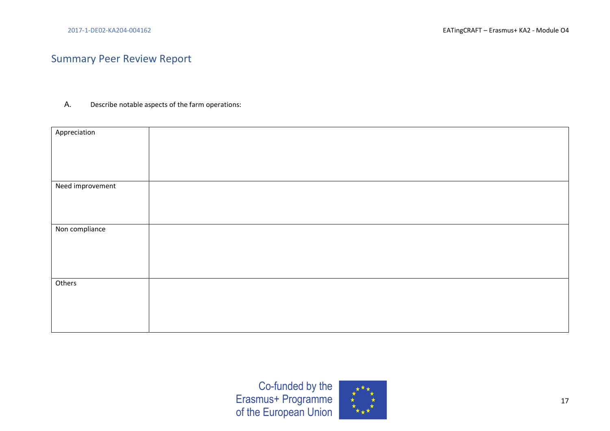# Summary Peer Review Report

A. Describe notable aspects of the farm operations:

| Appreciation     |  |
|------------------|--|
|                  |  |
|                  |  |
|                  |  |
|                  |  |
| Need improvement |  |
|                  |  |
|                  |  |
|                  |  |
| Non compliance   |  |
|                  |  |
|                  |  |
|                  |  |
|                  |  |
| Others           |  |
|                  |  |
|                  |  |
|                  |  |
|                  |  |

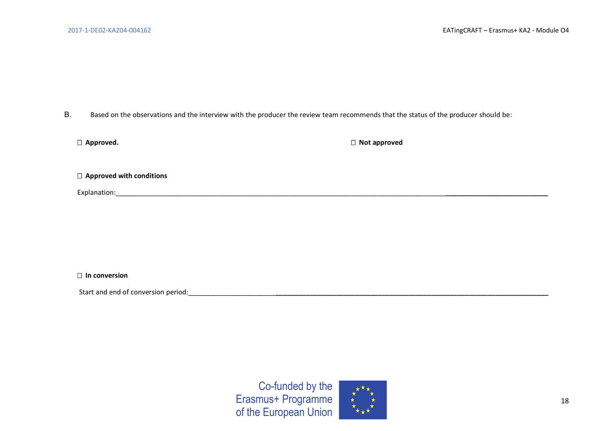B. Based on the observations and the interview with the producer the review team recommends that the status of the producer should be:

| $\Box$ Approved. | $\Box$ Not approved |
|------------------|---------------------|
|                  |                     |

 **Approved with conditions** 

Explanation:

#### **In conversion**

Start and end of conversion period:  $\Box$